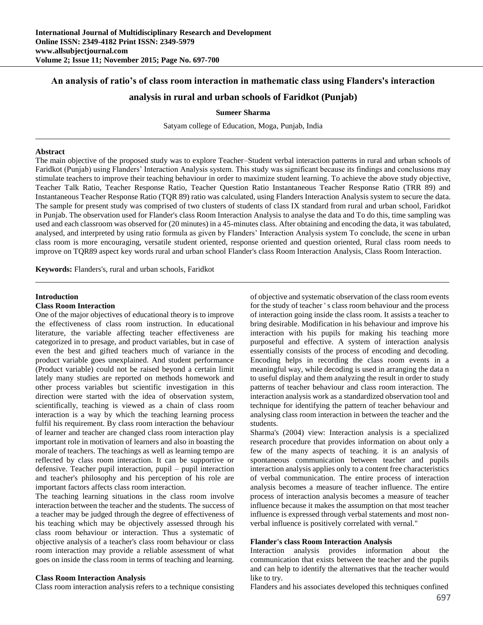## **An analysis of ratio's of class room interaction in mathematic class using Flanders's interaction**

## **analysis in rural and urban schools of Faridkot (Punjab)**

**Sumeer Sharma**

Satyam college of Education, Moga, Punjab, India

#### **Abstract**

The main objective of the proposed study was to explore Teacher–Student verbal interaction patterns in rural and urban schools of Faridkot (Punjab) using Flanders' Interaction Analysis system. This study was significant because its findings and conclusions may stimulate teachers to improve their teaching behaviour in order to maximize student learning. To achieve the above study objective, Teacher Talk Ratio, Teacher Response Ratio, Teacher Question Ratio Instantaneous Teacher Response Ratio (TRR 89) and Instantaneous Teacher Response Ratio (TQR 89) ratio was calculated, using Flanders Interaction Analysis system to secure the data. The sample for present study was comprised of two clusters of students of class IX standard from rural and urban school, Faridkot in Punjab. The observation used for Flander's class Room Interaction Analysis to analyse the data and To do this, time sampling was used and each classroom was observed for (20 minutes) in a 45-minutes class. After obtaining and encoding the data, it was tabulated, analysed, and interpreted by using ratio formula as given by Flanders' Interaction Analysis system To conclude, the scene in urban class room is more encouraging, versatile student oriented, response oriented and question oriented, Rural class room needs to improve on TQR89 aspect key words rural and urban school Flander's class Room Interaction Analysis, Class Room Interaction.

**Keywords:** Flanders's, rural and urban schools, Faridkot

#### **Introduction**

#### **Class Room Interaction**

One of the major objectives of educational theory is to improve the effectiveness of class room instruction. In educational literature, the variable affecting teacher effectiveness are categorized in to presage, and product variables, but in case of even the best and gifted teachers much of variance in the product variable goes unexplained. And student performance (Product variable) could not be raised beyond a certain limit lately many studies are reported on methods homework and other process variables but scientific investigation in this direction were started with the idea of observation system, scientifically, teaching is viewed as a chain of class room interaction is a way by which the teaching learning process fulfil his requirement. By class room interaction the behaviour of learner and teacher are changed class room interaction play important role in motivation of learners and also in boasting the morale of teachers. The teachings as well as learning tempo are reflected by class room interaction. It can be supportive or defensive. Teacher pupil interaction, pupil – pupil interaction and teacher's philosophy and his perception of his role are important factors affects class room interaction.

The teaching learning situations in the class room involve interaction between the teacher and the students. The success of a teacher may be judged through the degree of effectiveness of his teaching which may be objectively assessed through his class room behaviour or interaction. Thus a systematic of objective analysis of a teacher's class room behaviour or class room interaction may provide a reliable assessment of what goes on inside the class room in terms of teaching and learning.

#### **Class Room Interaction Analysis**

Class room interaction analysis refers to a technique consisting

of objective and systematic observation of the class room events for the study of teacher ' s class room behaviour and the process of interaction going inside the class room. It assists a teacher to bring desirable. Modification in his behaviour and improve his interaction with his pupils for making his teaching more purposeful and effective. A system of interaction analysis essentially consists of the process of encoding and decoding. Encoding helps in recording the class room events in a meaningful way, while decoding is used in arranging the data n to useful display and them analyzing the result in order to study patterns of teacher behaviour and class room interaction. The interaction analysis work as a standardized observation tool and technique for identifying the pattern of teacher behaviour and analysing class room interaction in between the teacher and the students.

Sharma's (2004) view: Interaction analysis is a specialized research procedure that provides information on about only a few of the many aspects of teaching. it is an analysis of spontaneous communication between teacher and pupils interaction analysis applies only to a content free characteristics of verbal communication. The entire process of interaction analysis becomes a measure of teacher influence. The entire process of interaction analysis becomes a measure of teacher influence because it makes the assumption on that most teacher influence is expressed through verbal statements and most nonverbal influence is positively correlated with vernal."

## **Flander's class Room Interaction Analysis**

Interaction analysis provides information about the communication that exists between the teacher and the pupils and can help to identify the alternatives that the teacher would like to try.

Flanders and his associates developed this techniques confined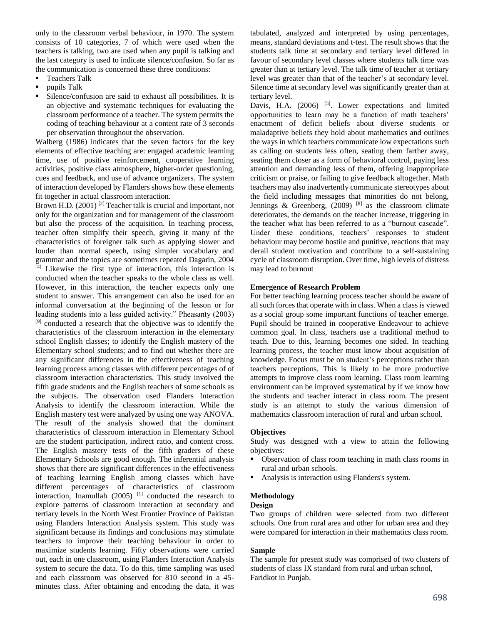only to the classroom verbal behaviour, in 1970. The system consists of 10 categories, 7 of which were used when the teachers is talking, two are used when any pupil is talking and the last category is used to indicate silence/confusion. So far as the communication is concerned these three conditions:

- **Teachers Talk**
- **pupils Talk**
- Silence/confusion are said to exhaust all possibilities. It is an objective and systematic techniques for evaluating the classroom performance of a teacher. The system permits the coding of teaching behaviour at a content rate of 3 seconds per observation throughout the observation.

Walberg (1986) indicates that the seven factors for the key elements of effective teaching are: engaged academic learning time, use of positive reinforcement, cooperative learning activities, positive class atmosphere, higher-order questioning, cues and feedback, and use of advance organizers. The system of interaction developed by Flanders shows how these elements fit together in actual classroom interaction.

Brown H.D.  $(2001)$ <sup>[2]</sup> Teacher talk is crucial and important, not only for the organization and for management of the classroom but also the process of the acquisition. In teaching process, teacher often simplify their speech, giving it many of the characteristics of foreigner talk such as applying slower and louder than normal speech, using simpler vocabulary and grammar and the topics are sometimes repeated Dagarin, 2004 [4] Likewise the first type of interaction, this interaction is conducted when the teacher speaks to the whole class as well. However, in this interaction, the teacher expects only one student to answer. This arrangement can also be used for an informal conversation at the beginning of the lesson or for leading students into a less guided activity." Pheasanty (2003) [9] conducted a research that the objective was to identify the characteristics of the classroom interaction in the elementary school English classes; to identify the English mastery of the Elementary school students; and to find out whether there are any significant differences in the effectiveness of teaching learning process among classes with different percentages of of classroom interaction characteristics. This study involved the fifth grade students and the English teachers of some schools as the subjects. The observation used Flanders Interaction Analysis to identify the classroom interaction. While the English mastery test were analyzed by using one way ANOVA. The result of the analysis showed that the dominant characteristics of classroom interaction in Elementary School are the student participation, indirect ratio, and content cross. The English mastery tests of the fifth graders of these Elementary Schools are good enough. The inferential analysis shows that there are significant differences in the effectiveness of teaching learning English among classes which have different percentages of characteristics of classroom interaction, Inamullah (2005) <sup>[1]</sup> conducted the research to explore patterns of classroom interaction at secondary and tertiary levels in the North West Frontier Province of Pakistan using Flanders Interaction Analysis system. This study was significant because its findings and conclusions may stimulate teachers to improve their teaching behaviour in order to maximize students learning. Fifty observations were carried out, each in one classroom, using Flanders Interaction Analysis system to secure the data. To do this, time sampling was used and each classroom was observed for 810 second in a 45 minutes class. After obtaining and encoding the data, it was

tabulated, analyzed and interpreted by using percentages, means, standard deviations and t-test. The result shows that the students talk time at secondary and tertiary level differed in favour of secondary level classes where students talk time was greater than at tertiary level. The talk time of teacher at tertiary level was greater than that of the teacher's at secondary level. Silence time at secondary level was significantly greater than at tertiary level.

Davis, H.A. (2006) <sup>[5]</sup>. Lower expectations and limited opportunities to learn may be a function of math teachers' enactment of deficit beliefs about diverse students or maladaptive beliefs they hold about mathematics and outlines the ways in which teachers communicate low expectations such as calling on students less often, seating them farther away, seating them closer as a form of behavioral control, paying less attention and demanding less of them, offering inappropriate criticism or praise, or failing to give feedback altogether. Math teachers may also inadvertently communicate stereotypes about the field including messages that minorities do not belong, Jennings & Greenberg,  $(2009)$ <sup>[8]</sup> as the classroom climate deteriorates, the demands on the teacher increase, triggering in the teacher what has been referred to as a "burnout cascade". Under these conditions, teachers' responses to student behaviour may become hostile and punitive, reactions that may derail student motivation and contribute to a self-sustaining cycle of classroom disruption. Over time, high levels of distress may lead to burnout

## **Emergence of Research Problem**

For better teaching learning process teacher should be aware of all such forces that operate with in class. When a class is viewed as a social group some important functions of teacher emerge. Pupil should be trained in cooperative Endeavour to achieve common goal. In class, teachers use a traditional method to teach. Due to this, learning becomes one sided. In teaching learning process, the teacher must know about acquisition of knowledge. Focus must be on student's perceptions rather than teachers perceptions. This is likely to be more productive attempts to improve class room learning. Class room learning environment can be improved systematical by if we know how the students and teacher interact in class room. The present study is an attempt to study the various dimension of mathematics classroom interaction of rural and urban school.

## **Objectives**

Study was designed with a view to attain the following objectives:

- Observation of class room teaching in math class rooms in rural and urban schools.
- Analysis is interaction using Flanders's system.

## **Methodology**

## **Design**

Two groups of children were selected from two different schools. One from rural area and other for urban area and they were compared for interaction in their mathematics class room.

## **Sample**

The sample for present study was comprised of two clusters of students of class IX standard from rural and urban school, Faridkot in Punjab.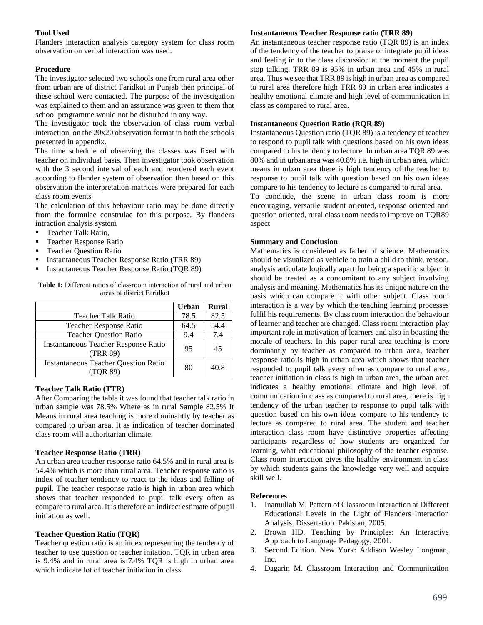## **Tool Used**

Flanders interaction analysis category system for class room observation on verbal interaction was used.

## **Procedure**

The investigator selected two schools one from rural area other from urban are of district Faridkot in Punjab then principal of these school were contacted. The purpose of the investigation was explained to them and an assurance was given to them that school programme would not be disturbed in any way.

The investigator took the observation of class room verbal interaction, on the 20x20 observation format in both the schools presented in appendix.

The time schedule of observing the classes was fixed with teacher on individual basis. Then investigator took observation with the 3 second interval of each and reordered each event according to flander system of observation then based on this observation the interpretation matrices were prepared for each class room events

The calculation of this behaviour ratio may be done directly from the formulae construlae for this purpose. By flanders intraction analysis system

- **Teacher Talk Ratio,**
- **Teacher Response Ratio**
- **Teacher Question Ratio**
- **Instantaneous Teacher Response Ratio (TRR 89)**
- Instantaneous Teacher Response Ratio (TQR 89)

| areas of district Faridkot    |              |              |
|-------------------------------|--------------|--------------|
|                               | <b>Urban</b> | <b>Rural</b> |
| Teacher Talk Ratio            | 78.5         |              |
| <b>Teacher Response Ratio</b> | 64.5         | 54.4         |

Teacher Question Ratio  $9.4$  | 7.4

Teacher Response Ratio  $95 \t 45$ 

**Table 1:** Different ratios of classroom interaction of rural and urban areas of district Faridkot

# Instantaneous Teacher Question Ratio 80 40.8

Instantaneous Teacher Response Ratio

## **Teacher Talk Ratio (TTR)**

After Comparing the table it was found that teacher talk ratio in urban sample was 78.5% Where as in rural Sample 82.5% It Means in rural area teaching is more dominantly by teacher as compared to urban area. It as indication of teacher dominated class room will authoritarian climate.

## **Teacher Response Ratio (TRR)**

An urban area teacher response ratio 64.5% and in rural area is 54.4% which is more than rural area. Teacher response ratio is index of teacher tendency to react to the ideas and felling of pupil. The teacher response ratio is high in urban area which shows that teacher responded to pupil talk every often as compare to rural area. It is therefore an indirect estimate of pupil initiation as well.

## **Teacher Question Ratio (TQR)**

Teacher question ratio is an index representing the tendency of teacher to use question or teacher initation. TQR in urban area is 9.4% and in rural area is 7.4% TQR is high in urban area which indicate lot of teacher initiation in class.

## **Instantaneous Teacher Response ratio (TRR 89)**

An instantaneous teacher response ratio (TQR 89) is an index of the tendency of the teacher to praise or integrate pupil ideas and feeling in to the class discussion at the moment the pupil stop talking. TRR 89 is 95% in urban area and 45% in rural area. Thus we see that TRR 89 is high in urban area as compared to rural area therefore high TRR 89 in urban area indicates a healthy emotional climate and high level of communication in class as compared to rural area.

## **Instantaneous Question Ratio (RQR 89)**

Instantaneous Question ratio (TQR 89) is a tendency of teacher to respond to pupil talk with questions based on his own ideas compared to his tendency to lecture. In urban area TQR 89 was 80% and in urban area was 40.8% i.e. high in urban area, which means in urban area there is high tendency of the teacher to response to pupil talk with question based on his own ideas compare to his tendency to lecture as compared to rural area.

To conclude, the scene in urban class room is more encouraging, versatile student oriented, response oriented and question oriented, rural class room needs to improve on TQR89 aspect

## **Summary and Conclusion**

Mathematics is considered as father of science. Mathematics should be visualized as vehicle to train a child to think, reason, analysis articulate logically apart for being a specific subject it should be treated as a concomitant to any subject involving analysis and meaning. Mathematics has its unique nature on the basis which can compare it with other subject. Class room interaction is a way by which the teaching learning processes fulfil his requirements. By class room interaction the behaviour of learner and teacher are changed. Class room interaction play important role in motivation of learners and also in boasting the morale of teachers. In this paper rural area teaching is more dominantly by teacher as compared to urban area, teacher response ratio is high in urban area which shows that teacher responded to pupil talk every often as compare to rural area, teacher initiation in class is high in urban area, the urban area indicates a healthy emotional climate and high level of communication in class as compared to rural area, there is high tendency of the urban teacher to response to pupil talk with question based on his own ideas compare to his tendency to lecture as compared to rural area. The student and teacher interaction class room have distinctive properties affecting participants regardless of how students are organized for learning, what educational philosophy of the teacher espouse. Class room interaction gives the healthy environment in class by which students gains the knowledge very well and acquire skill well.

## **References**

- 1. Inamullah M. Pattern of Classroom Interaction at Different Educational Levels in the Light of Flanders Interaction Analysis. Dissertation. Pakistan, 2005.
- 2. Brown HD. Teaching by Principles: An Interactive Approach to Language Pedagogy, 2001.
- 3. Second Edition. New York: Addison Wesley Longman, Inc.
- 4. Dagarin M. Classroom Interaction and Communication